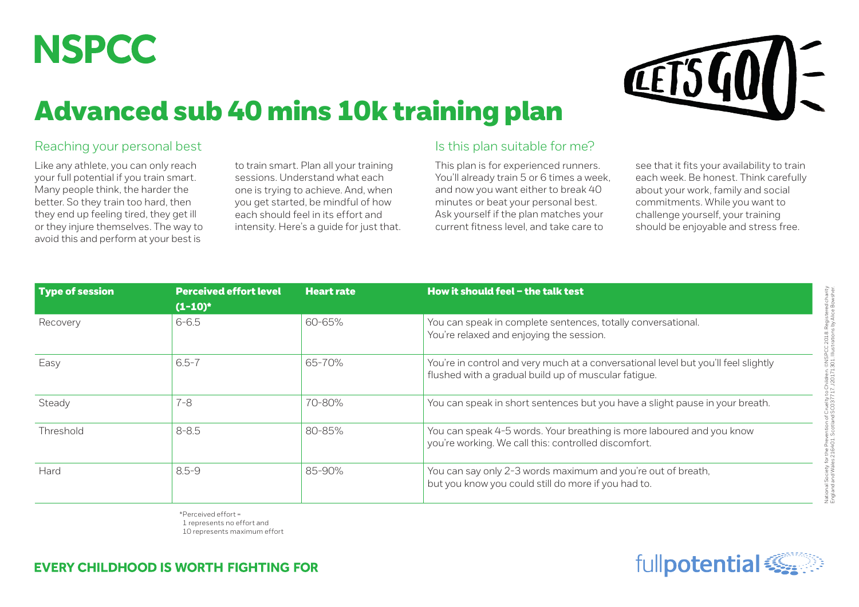

## Advanced sub 40 mins 10k training plan



## Reaching your personal best

Like any athlete, you can only reach your full potential if you train smart. Many people think, the harder the better. So they train too hard, then they end up feeling tired, they get ill or they injure themselves. The way to avoid this and perform at your best is

to train smart. Plan all your training sessions. Understand what each one is trying to achieve. And, when you get started, be mindful of how each should feel in its effort and intensity. Here's a guide for just that.

## Is this plan suitable for me?

This plan is for experienced runners. You'll already train 5 or 6 times a week, and now you want either to break 40 minutes or beat your personal best. Ask yourself if the plan matches your current fitness level, and take care to

see that it fits your availability to train each week. Be honest. Think carefully about your work, family and social commitments. While you want to challenge yourself, your training should be enjoyable and stress free.

| Type of session | <b>Perceived effort level</b> | <b>Heart rate</b> | How it should feel $-$ the talk test                                                                                                       |  |  |  |
|-----------------|-------------------------------|-------------------|--------------------------------------------------------------------------------------------------------------------------------------------|--|--|--|
|                 | $(1-10)^*$                    |                   |                                                                                                                                            |  |  |  |
| Recovery        | $6 - 6.5$                     | 60-65%            | You can speak in complete sentences, totally conversational.<br>You're relaxed and enjoying the session.                                   |  |  |  |
| Easy            | $6.5 - 7$                     | 65-70%            | You're in control and very much at a conversational level but you'll feel slightly<br>flushed with a gradual build up of muscular fatigue. |  |  |  |
| Steady          | $7 - 8$                       | 70-80%            | You can speak in short sentences but you have a slight pause in your breath.                                                               |  |  |  |
| Threshold       | $8 - 8.5$                     | 80-85%            | You can speak 4-5 words. Your breathing is more laboured and you know<br>you're working. We call this: controlled discomfort.              |  |  |  |
| Hard            | $8.5 - 9$                     | 85-90%            | You can say only 2-3 words maximum and you're out of breath,<br>but you know you could still do more if you had to.                        |  |  |  |

\*Perceived effort = 1 represents no effort and 10 represents maximum effort